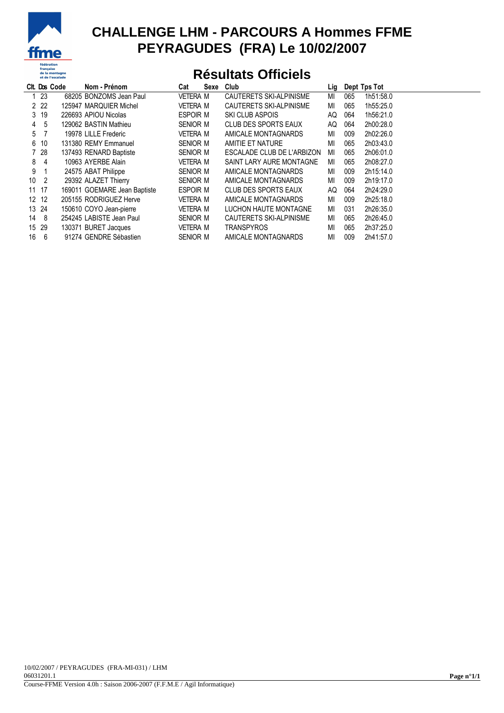

## **CHALLENGE LHM - PARCOURS A Hommes FFME PEYRAGUDES (FRA) Le 10/02/2007**

## **Résultats Officiels**

|                 |       | Cit. Dos Code | Nom - Prénom                 | Cat             | Sexe | Club                       | Lig |     | Dept Tps Tot |
|-----------------|-------|---------------|------------------------------|-----------------|------|----------------------------|-----|-----|--------------|
|                 | 123   |               | 68205 BONZOMS Jean Paul      | <b>VETERA M</b> |      | CAUTERETS SKI-ALPINISME    | МI  | 065 | 1h51:58.0    |
|                 | 2 2 2 |               | 125947 MARQUIER Michel       | <b>VETERA M</b> |      | CAUTERETS SKI-ALPINISME    | МI  | 065 | 1h55:25.0    |
|                 | 3 19  |               | 226693 APIOU Nicolas         | ESPOIR M        |      | SKI CLUB ASPOIS            | AQ  | 064 | 1h56:21.0    |
| $\overline{4}$  | -5    |               | 129062 BASTIN Mathieu        | SENIOR M        |      | CLUB DES SPORTS EAUX       | AQ  | 064 | 2h00:28.0    |
| 5               |       |               | 19978 LILLE Frederic         | VETERA M        |      | AMICALE MONTAGNARDS        | МI  | 009 | 2h02:26.0    |
| 6               | 10    |               | 131380 REMY Emmanuel         | SENIOR M        |      | AMITIE ET NATURE           | МI  | 065 | 2h03:43.0    |
|                 | 7 28  |               | 137493 RENARD Baptiste       | SENIOR M        |      | ESCALADE CLUB DE L'ARBIZON | MI  | 065 | 2h06:01.0    |
| 8               | -4    |               | 10963 AYERBE Alain           | VETERA M        |      | SAINT LARY AURE MONTAGNE   | МI  | 065 | 2h08:27.0    |
| 9               | -1    |               | 24575 ABAT Philippe          | SENIOR M        |      | AMICALE MONTAGNARDS        | МI  | 009 | 2h15:14.0    |
| 10              | 2     |               | 29392 ALAZET Thierry         | SENIOR M        |      | AMICALE MONTAGNARDS        | MI  | 009 | 2h19:17.0    |
|                 | 11 17 |               | 169011 GOEMARE Jean Baptiste | ESPOIR M        |      | CLUB DES SPORTS EAUX       | AQ  | 064 | 2h24:29.0    |
| 12 <sup>°</sup> | 12    |               | 205155 RODRIGUEZ Herve       | VETERA M        |      | AMICALE MONTAGNARDS        | МI  | 009 | 2h25:18.0    |
| 13              | -24   |               | 150610 COYO Jean-pierre      | VETERA M        |      | LUCHON HAUTE MONTAGNE      | МI  | 031 | 2h26:35.0    |
| 14              | 8     |               | 254245 LABISTE Jean Paul     | SENIOR M        |      | CAUTERETS SKI-ALPINISME    | МI  | 065 | 2h26:45.0    |
| 15              | 29    |               | 130371 BURET Jacques         | VETERA M        |      | <b>TRANSPYROS</b>          | МI  | 065 | 2h37:25.0    |
| 16              | 6     |               | 91274 GENDRE Sébastien       | SENIOR M        |      | AMICALE MONTAGNARDS        | MI  | 009 | 2h41:57.0    |